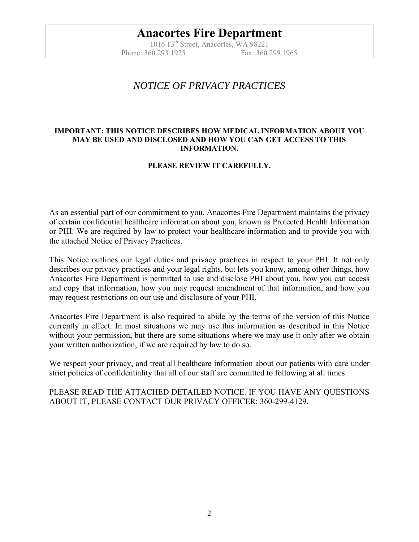### **Anacortes Fire Department**  1016 13<sup>th</sup> Street, Anacortes, WA 98221

Phone: 360.293.1925 Fax: 360.299.1965

### *NOTICE OF PRIVACY PRACTICES*

#### **IMPORTANT: THIS NOTICE DESCRIBES HOW MEDICAL INFORMATION ABOUT YOU MAY BE USED AND DISCLOSED AND HOW YOU CAN GET ACCESS TO THIS INFORMATION.**

#### **PLEASE REVIEW IT CAREFULLY.**

As an essential part of our commitment to you, Anacortes Fire Department maintains the privacy of certain confidential healthcare information about you, known as Protected Health Information or PHI. We are required by law to protect your healthcare information and to provide you with the attached Notice of Privacy Practices.

This Notice outlines our legal duties and privacy practices in respect to your PHI. It not only describes our privacy practices and your legal rights, but lets you know, among other things, how Anacortes Fire Department is permitted to use and disclose PHI about you, how you can access and copy that information, how you may request amendment of that information, and how you may request restrictions on our use and disclosure of your PHI.

Anacortes Fire Department is also required to abide by the terms of the version of this Notice currently in effect. In most situations we may use this information as described in this Notice without your permission, but there are some situations where we may use it only after we obtain your written authorization, if we are required by law to do so.

We respect your privacy, and treat all healthcare information about our patients with care under strict policies of confidentiality that all of our staff are committed to following at all times.

PLEASE READ THE ATTACHED DETAILED NOTICE. IF YOU HAVE ANY QUESTIONS ABOUT IT, PLEASE CONTACT OUR PRIVACY OFFICER: 360-299-4129.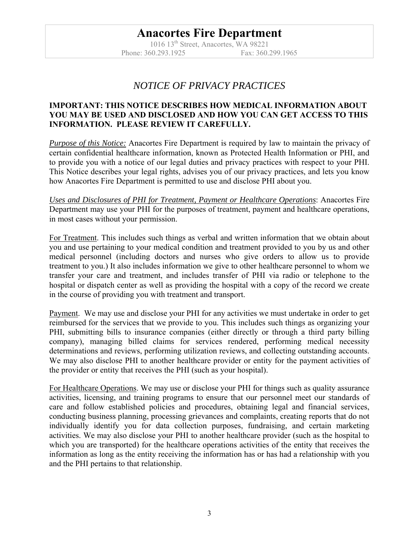1016 13<sup>th</sup> Street, Anacortes, WA 98221 Phone: 360.293.1925 Fax: 360.299.1965

### *NOTICE OF PRIVACY PRACTICES*

### **IMPORTANT: THIS NOTICE DESCRIBES HOW MEDICAL INFORMATION ABOUT YOU MAY BE USED AND DISCLOSED AND HOW YOU CAN GET ACCESS TO THIS INFORMATION. PLEASE REVIEW IT CAREFULLY.**

*Purpose of this Notice:* Anacortes Fire Department is required by law to maintain the privacy of certain confidential healthcare information, known as Protected Health Information or PHI, and to provide you with a notice of our legal duties and privacy practices with respect to your PHI. This Notice describes your legal rights, advises you of our privacy practices, and lets you know how Anacortes Fire Department is permitted to use and disclose PHI about you.

*Uses and Disclosures of PHI for Treatment, Payment or Healthcare Operations*: Anacortes Fire Department may use your PHI for the purposes of treatment, payment and healthcare operations, in most cases without your permission.

For Treatment. This includes such things as verbal and written information that we obtain about you and use pertaining to your medical condition and treatment provided to you by us and other medical personnel (including doctors and nurses who give orders to allow us to provide treatment to you.) It also includes information we give to other healthcare personnel to whom we transfer your care and treatment, and includes transfer of PHI via radio or telephone to the hospital or dispatch center as well as providing the hospital with a copy of the record we create in the course of providing you with treatment and transport.

Payment. We may use and disclose your PHI for any activities we must undertake in order to get reimbursed for the services that we provide to you. This includes such things as organizing your PHI, submitting bills to insurance companies (either directly or through a third party billing company), managing billed claims for services rendered, performing medical necessity determinations and reviews, performing utilization reviews, and collecting outstanding accounts. We may also disclose PHI to another healthcare provider or entity for the payment activities of the provider or entity that receives the PHI (such as your hospital).

For Healthcare Operations. We may use or disclose your PHI for things such as quality assurance activities, licensing, and training programs to ensure that our personnel meet our standards of care and follow established policies and procedures, obtaining legal and financial services, conducting business planning, processing grievances and complaints, creating reports that do not individually identify you for data collection purposes, fundraising, and certain marketing activities. We may also disclose your PHI to another healthcare provider (such as the hospital to which you are transported) for the healthcare operations activities of the entity that receives the information as long as the entity receiving the information has or has had a relationship with you and the PHI pertains to that relationship.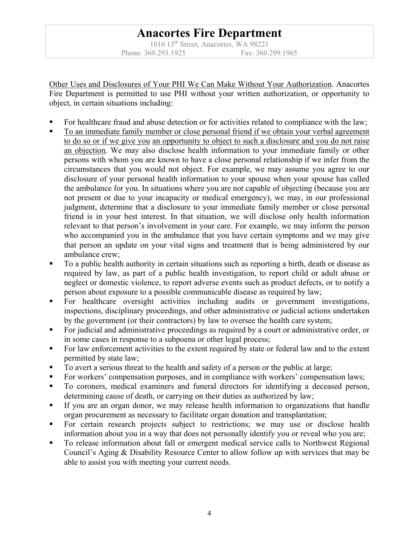1016 13th Street, Anacortes, WA 98221 Phone: 360.293.1925 Fax: 360.299.1965

Other Uses and Disclosures of Your PHI We Can Make Without Your Authorization. Anacortes Fire Department is permitted to use PHI without your written authorization, or opportunity to object, in certain situations including:

- For healthcare fraud and abuse detection or for activities related to compliance with the law;
- To an immediate family member or close personal friend if we obtain your verbal agreement to do so or if we give you an opportunity to object to such a disclosure and you do not raise an objection. We may also disclose health information to your immediate family or other persons with whom you are known to have a close personal relationship if we infer from the circumstances that you would not object. For example, we may assume you agree to our disclosure of your personal health information to your spouse when your spouse has called the ambulance for you. In situations where you are not capable of objecting (because you are not present or due to your incapacity or medical emergency), we may, in our professional judgment, determine that a disclosure to your immediate family member or close personal friend is in your best interest. In that situation, we will disclose only health information relevant to that person's involvement in your care. For example, we may inform the person who accompanied you in the ambulance that you have certain symptoms and we may give that person an update on your vital signs and treatment that is being administered by our ambulance crew;
- To a public health authority in certain situations such as reporting a birth, death or disease as required by law, as part of a public health investigation, to report child or adult abuse or neglect or domestic violence, to report adverse events such as product defects, or to notify a person about exposure to a possible communicable disease as required by law;
- For healthcare oversight activities including audits or government investigations, inspections, disciplinary proceedings, and other administrative or judicial actions undertaken by the government (or their contractors) by law to oversee the health care system;
- For judicial and administrative proceedings as required by a court or administrative order, or in some cases in response to a subpoena or other legal process;
- For law enforcement activities to the extent required by state or federal law and to the extent permitted by state law;
- To avert a serious threat to the health and safety of a person or the public at large;
- For workers' compensation purposes, and in compliance with workers' compensation laws;
- To coroners, medical examiners and funeral directors for identifying a deceased person, determining cause of death, or carrying on their duties as authorized by law;
- If you are an organ donor, we may release health information to organizations that handle organ procurement as necessary to facilitate organ donation and transplantation;
- For certain research projects subject to restrictions; we may use or disclose health information about you in a way that does not personally identify you or reveal who you are;
- To release information about fall or emergent medical service calls to Northwest Regional Council's Aging & Disability Resource Center to allow follow up with services that may be able to assist you with meeting your current needs.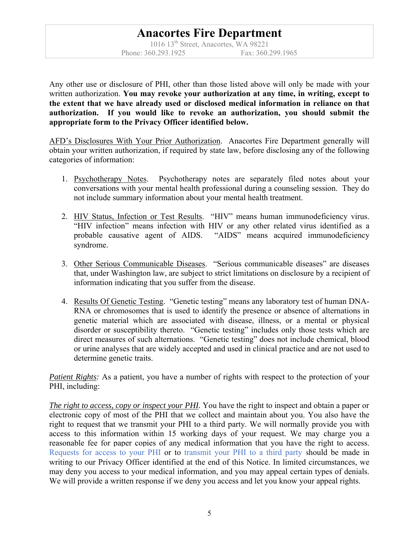1016 13th Street, Anacortes, WA 98221 Phone: 360.293.1925 Fax: 360.299.1965

Any other use or disclosure of PHI, other than those listed above will only be made with your written authorization. **You may revoke your authorization at any time, in writing, except to the extent that we have already used or disclosed medical information in reliance on that authorization. If you would like to revoke an authorization, you should submit the appropriate form to the Privacy Officer identified below.** 

AFD's Disclosures With Your Prior Authorization. Anacortes Fire Department generally will obtain your written authorization, if required by state law, before disclosing any of the following categories of information:

- 1. Psychotherapy Notes. Psychotherapy notes are separately filed notes about your conversations with your mental health professional during a counseling session. They do not include summary information about your mental health treatment.
- 2. HIV Status, Infection or Test Results. "HIV" means human immunodeficiency virus. "HIV infection" means infection with HIV or any other related virus identified as a probable causative agent of AIDS. "AIDS" means acquired immunodeficiency syndrome.
- 3. Other Serious Communicable Diseases. "Serious communicable diseases" are diseases that, under Washington law, are subject to strict limitations on disclosure by a recipient of information indicating that you suffer from the disease.
- 4. Results Of Genetic Testing. "Genetic testing" means any laboratory test of human DNA-RNA or chromosomes that is used to identify the presence or absence of alternations in genetic material which are associated with disease, illness, or a mental or physical disorder or susceptibility thereto. "Genetic testing" includes only those tests which are direct measures of such alternations. "Genetic testing" does not include chemical, blood or urine analyses that are widely accepted and used in clinical practice and are not used to determine genetic traits.

*Patient Rights:* As a patient, you have a number of rights with respect to the protection of your PHI, including:

*The right to access, copy or inspect your PHI.* You have the right to inspect and obtain a paper or electronic copy of most of the PHI that we collect and maintain about you. You also have the right to request that we transmit your PHI to a third party. We will normally provide you with access to this information within 15 working days of your request. We may charge you a reasonable fee for paper copies of any medical information that you have the right to access. [Requests for access to your PHI](http://www.cityofanacortes.org/docs/Fire/HIPAA/HIPPA%20FORM%202.1.pdf) or to [transmit your PHI to a third party s](http://www.cityofanacortes.org/docs/Fire/HIPAA/HIPPA%20FORM%201.9.pdf)hould be made in writing to our Privacy Officer identified at the end of this Notice. In limited circumstances, we may deny you access to your medical information, and you may appeal certain types of denials. We will provide a written response if we deny you access and let you know your appeal rights.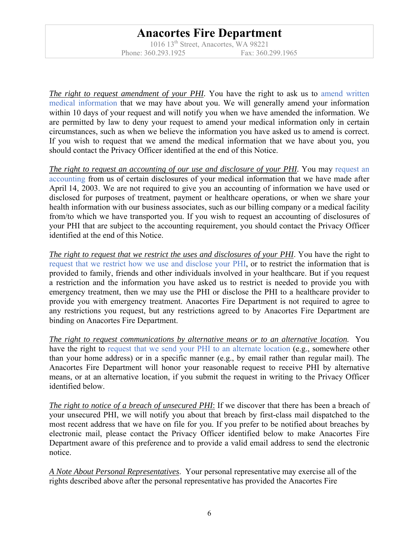1016 13<sup>th</sup> Street, Anacortes, WA 98221 Phone: 360.293.1925 Fax: 360.299.1965

*The right to request amendment of your PHI.* You have the right to ask us to amend written medical information that we may have about you. We will generally amend your information within 10 days of your request and will notify you when we have amended the information. We are permitted by law to deny your request to amend your medical information only in certain circumstances, such as when we believe the information you have asked us to amend is correct. [If you wish to request that we amend the medical information that we have about you, you](http://www.cityofanacortes.org/docs/Fire/HIPAA/HIPPA%20FORM%202.2.pdf)  should contact the Privacy Officer identified at the end of this Notice.

*The right to request an accounting of our use and disclosure of your PHI.* You may request an accounting from us of certain disclosures of your medical information that we have made after April 14, 2003. We are not required to give you an accounting of information we have used or disclosed for purposes of treatment, payment or healthcare operations, or when we share your [health information with our business associates, such as our billing company or a medical facility](http://www.cityofanacortes.org/docs/Fire/HIPAA/HIPPA%20FORM%202.3.pdf)  from/to which we have transported you. If you wish to request an accounting of disclosures of your PHI that are subject to the accounting requirement, you should contact the Privacy Officer identified at the end of this Notice.

*The right to request that we restrict the uses and disclosures of your PHI*. You have the right to request that we restrict how we use and disclose your PHI, or to restrict the information that is provided to family, friends and other individuals involved in your healthcare. But if you request [a restriction and the information you have asked us to restrict is needed to provide you with](http://www.cityofanacortes.org/docs/Fire/HIPAA/HIPPA%20FORM%202.5.pdf)  emergency treatment, then we may use the PHI or disclose the PHI to a healthcare provider to provide you with emergency treatment. Anacortes Fire Department is not required to agree to any restrictions you request, but any restrictions agreed to by Anacortes Fire Department are binding on Anacortes Fire Department.

*The right to request communications by alternative means or to an alternative location.* You have the right to request that we send your PHI to an alternate location (e.g., somewhere other than your home address) or in a specific manner (e.g., by email rather than regular mail). The [Anacortes Fire Department will honor your reasonable request to receive PHI by alternative](http://www.cityofanacortes.org/docs/Fire/HIPAA/HIPPA%20FORM%202.4.pdf)  means, or at an alternative location, if you submit the request in writing to the Privacy Officer identified below.

*The right to notice of a breach of unsecured PHI*: If we discover that there has been a breach of your unsecured PHI, we will notify you about that breach by first-class mail dispatched to the most recent address that we have on file for you. If you prefer to be notified about breaches by electronic mail, please contact the Privacy Officer identified below to make Anacortes Fire Department aware of this preference and to provide a valid email address to send the electronic notice.

*A Note About Personal Representatives*. Your personal representative may exercise all of the rights described above after the personal representative has provided the Anacortes Fire